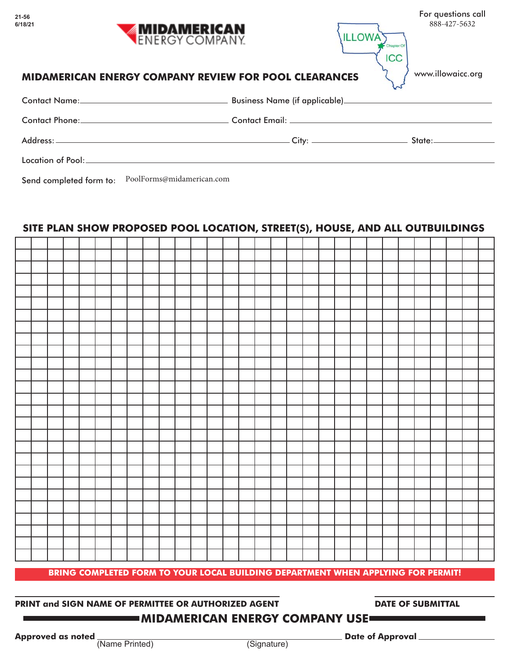|         | For questions call |
|---------|--------------------|
|         | 888-427-5632       |
| 1110MAT |                    |

ICC

www.illowaicc.org

## **MIDAMERICAN ENERGY COMPANY REVIEW FOR POOL CLEARANCES**

**MIDAMERICAN**<br>ENERGY COMPANY

| Contact Name: 2008 |                               |                     |
|--------------------|-------------------------------|---------------------|
|                    |                               |                     |
|                    | _____ City: _________________ | State:_____________ |
|                    |                               |                     |

Send completed form to: PoolForms@midamerican.com

# **SITE PLAN SHOW PROPOSED POOL LOCATION, STREET(S), HOUSE, AND ALL OUTBUILDINGS**

| BRING COMPLETED FORM TO YOUR LOCAL BUILDING DEPARTMENT WHEN APPLYING FOR PERMIT! |  |  |  |  |  |  |  |  |  |  |  |  |  |  |  |  |  |  |  |  |  |
|----------------------------------------------------------------------------------|--|--|--|--|--|--|--|--|--|--|--|--|--|--|--|--|--|--|--|--|--|

# **PRINT and SIGN NAME OF PERMITTEE OR AUTHORIZED AGENT <b>DATE OF SUBMITTAL**

# **MIDAMERICAN ENERGY COMPANY USE**

**Approved as noted**  $\frac{1}{N}$  (Name Printed) **Date of Approval Date of Approval**